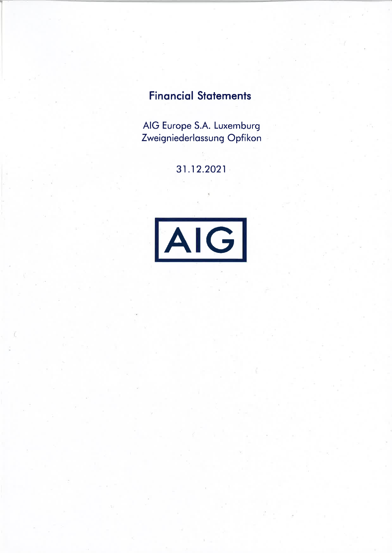# **Financial Statements**

AIG Europe S.A. Luxemburg Zweigniederlassung Opfikon

31.12.2021

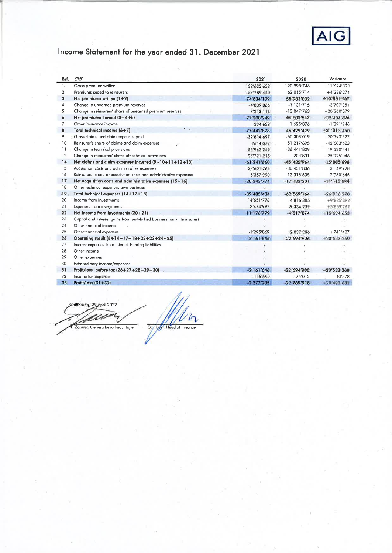

# Income Statement for the year ended 31. December 2021

| Ref.         | <b>CHF</b>                                                               | 2021          | 2020          | Variance      |
|--------------|--------------------------------------------------------------------------|---------------|---------------|---------------|
| $\mathbf{L}$ | Gross premium written                                                    | 132'623'639   | 120'998'746   | $+11'624'893$ |
| 2            | Premiums ceded to reinsurers                                             | $-57'789'440$ | $-62'015'714$ | $+4'226'274$  |
| 3            | Net premiums written $(1+2)$                                             | 74'834'199    | 58'983'032    | +15'851'167   |
| 4            | Change in unearned premium reserves                                      | $-4'839'066$  | $-1'131'715$  | $-3'707'351$  |
| 5            | Change in reinsurers' share of unearned premium reserves                 | 7'213'116     | $-13'047'763$ | $+20'260'879$ |
| 6            | Net premiums earned $(3+4+5)$                                            | 77'208'249    | 44'803'553    | +32'404'696   |
| 7            | Other insurance income                                                   | 234'629       | 1'625'876     | $-1'391'246$  |
| 8            | <b>COLL</b><br>Total technical income (6+7)                              | 77'442'878    | 46'429'429    | $+31'013'450$ |
| 9            | Gross claims and claim expenses paid                                     | -39'614'697   | -60'008'019   | $+20'393'322$ |
| 10           | Reinsurer's share of claims and claim expenses                           | 8'614'072     | 51'217'695    | $-42'603'623$ |
| 11           | Change in technical provisions                                           | $-55'962'249$ | $-36'441'809$ | $-19'520'441$ |
| 12           | Change in reinsurers' share of technical provisions                      | 25'721'215    | $-203'831$    | $+25'925'046$ |
| 14           | Net claims and claim expenses incurred (9+10+11+12+13)                   | $-61'241'660$ | $-45'435'964$ | $-15'805'696$ |
| 15           | Acquisition costs and administrative expenses                            | $-33'601'764$ | $-30'451'836$ | $-3'149'928$  |
| 16           | Reinsurers' share of acquisition costs and administrative expenses       | 5'357'990     | 13'318'635    | $-7'960'645$  |
| 17           | Net acquisition costs and administrative expenses (15+16)                | $-28'243'774$ | $-17'133'201$ | $-11'110'574$ |
| 18           | Other technical expenses own business                                    |               |               |               |
| .19.         | Total technical expenses (14+17+18)                                      | -89'485'434   | $-62'569'164$ | $-26'916'270$ |
| 20           | Income from Investments                                                  | 14'651'776    | 4'816'385     | $+9'835'392$  |
| 21           | Expenses from investments                                                | $-3'474'997$  | $-9'334'259$  | $+5'859'262$  |
| 22           | Net income from investments (20+21)                                      | 11'176'779    | $-4'517'874$  | $+15'694'653$ |
| 23           | Capital and interest gains from unit-linked business (only life insurer) |               |               |               |
| 24           | Other financial income                                                   |               |               |               |
| 25           | Other financial expenses                                                 | $-1'295'869$  | $-2'037'296$  | $+741'427$    |
| 26           | Operating result (8+14+17+18+22+23+24+25)                                | $-2'161'646$  | $-22'694'906$ | $+20'533'260$ |
| 27           | Interest expenses from interest-bearing liabilities                      |               |               |               |
| 28           | Other income                                                             |               |               |               |
| 29           | Other expenses                                                           |               |               |               |
| 30           | Extraordinary income/expenses                                            |               |               |               |
| 31           | Profit/loss before tax (26+27+28+29+30)                                  | $-2'161'646$  | $-22'694'906$ | $+20'533'260$ |
| 32           | Income tax expense                                                       | $-115'590$    | $-75'012$     | $-40'578$     |
| 33           | Profit/loss (31+32)                                                      | $-2'277'235$  | $-22'769'918$ | +20'492'682   |
|              |                                                                          |               |               |               |

Haffbrugg, 29 April 2022 G. Holyn, Head of Finance Zanner, Generalbevollmächtigter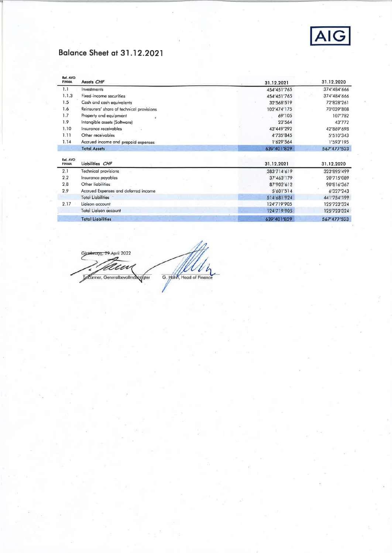

## Balance Sheet at 31.12.2021

| Ref. AVO<br><b>FINMA</b> | Assets CHF                                | 31.12.2021  | 31.12.2020  |
|--------------------------|-------------------------------------------|-------------|-------------|
| 1.1                      | Investments                               | 454'451'765 | 374'484'666 |
| 1.1.3                    | Fixed-income securities                   | 454'451'765 | 374'484'666 |
| 1.5                      | Cash and cash equivalents                 | 32'568'519  | 72'828'261  |
| 1.6                      | Reinsurers' share of technical provisions | 102'474'175 | 70'039'808  |
| 1.7                      | Property and equipment                    | 69'105      | 107'782     |
| 1.9                      | Intangible assets (Software)              | 23'564      | 43'772      |
| 1.10                     | Insurance receivables                     | 43'449'292  | 42'869'698  |
| 1.11                     | Other receivables                         | 4'735'845   | 5'510'343   |
| 1.14                     | Accrued income and prepaid expenses       | 1'629'564   | 1'593'195   |
|                          | <b>Total Assets</b>                       | 639'401'829 | 567'477'523 |
| Ref. AVO<br><b>FINMA</b> | Liabilities CHF                           | 31.12.2021  | 31.12.2020  |
| 2.1                      | <b>Technical provisions</b>               | 383'714'619 | 323'895'499 |
| 2,2                      | Insurance payables                        | 37'463'179  | 20'715'089  |
| 2.8                      | Other liabilities                         | 87'902'612  | 90'816'367  |
| 2.9                      | Accrued Expenses and deferred income      | 5'601'514   | 6'327'243   |
|                          | <b>Total Liabilities</b>                  | 514'681'924 | 441'754'199 |
| 2.17                     | Liaison account                           | 124'719'905 | 125'723'324 |
|                          | Total Lialson account                     | 124'719'905 | 125'723'324 |
|                          | <b>Total Liabilities</b>                  | 639'401'829 | 567'477'523 |

Glattbrugg, 29.April 2022 w G. Hohn, Head of Finance Manner, Generalbevollmantifater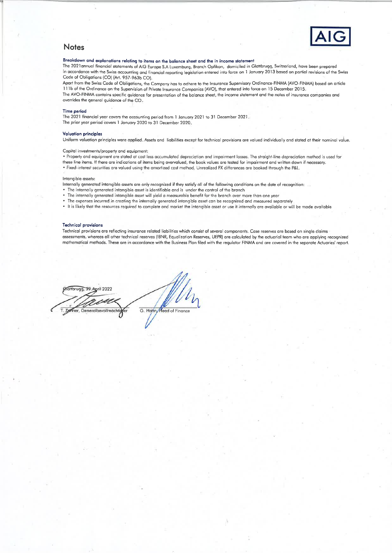

### **Notes**

### Breakdown and explanations relating to items on the balance sheet and the in income statement

The 2021 annual financial statements of AIG Europe S.A Luxemburg, Branch Opfikon, domiciled in Glattbrugg, Switzerland, have been prepared in accordance with the Swiss accounting and financial reporting legislation entered into force on 1 January 2013 based on partial revisions of the Swiss Code of Obligations (CO) (Art. 957-963b CO).

Apart from the Swiss Code of Obligations, the Company has to adhere to the Insurance Supervisory Ordinance-FINMA (AVO-FINMA) based on article 111b of the Ordinance on the Supervision of Private Insurance Companies (AVO), that entered into force on 15 December 2015. The AVO-FINMA contains specific guidance for presentation of the balance sheet, the income statement and the notes of insurance companies and overrides the general guidance of the CO.

#### Time period

The 2021 financial year covers the accounting period from 1 January 2021 to 31 December 2021. The prior year period covers 1 January 2020 to 31 December 2020.

#### **Valuation principles**

Uniform valuation principles were applied. Assets and liabilities except for technical provisions are valued individually and stated at their nominal value.

#### Capital investments/property and equipment:

. Property and equipment are stated at cost less accumulated depreciation and impairment losses. The straight-line depreciation method is used for these line items. If there are indications of items being overvalued, the book values are tested for impairment and written down if necessary. . Fixed-interest securities are valued using the amortized cost method. Unrealized FX differences are booked through the P&L.

#### Intangible assets:

Internally generated intangible assets are only recognized if they satisfy all of the following conditions on the date of recognition:

- The internally generated intangible asset is identifiable and is under the control of the branch
- The internally generated intangible asset will yield a measurable benefit for the branch over more than one year
- The expenses incurred in creating the internally generated intangible asset can be recognized and measured separately
- . It is likely that the resources required to complete and market the intangible asset or use it internally are available or will be made available

#### **Technical provisions**

Technical provisions are reflecting insurance related liabilities which consist of several components. Case reserves are based on single claims assessments, whereas all other technical reserves (IBNR, Equalization Reserves, UEPR) are calculated by the actuarial team who are applying recognized mathematical methods. These are in accordance with the Business Plan filed with the regulator FINMA and are covered in the separate Actuaries' report.

Mattbrugg, 29.April 2022 G. Hahn Head of Finance ner, Generalbevollmächt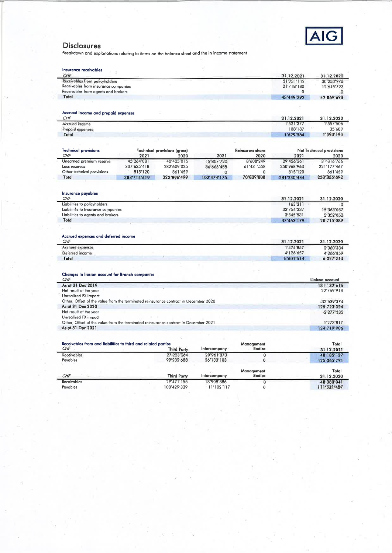

Disclosures<br>Breakdown and explanations relating to items on the balance sheet and the in income statement

| Insurance receivables                                                                |             |                                     |              |                  |             |                          |
|--------------------------------------------------------------------------------------|-------------|-------------------------------------|--------------|------------------|-------------|--------------------------|
| CHF                                                                                  |             |                                     |              |                  | 31.12.2021  | 31.12.2020               |
| Receivables from policyholders                                                       |             |                                     |              |                  | 21'731'112  | 30'253'976               |
| Receivables from insurance companies                                                 |             |                                     |              |                  | 21'718'180  | 12'615'722               |
| Receivables from agents and brokers                                                  |             |                                     |              |                  | $\bf{0}$    | o                        |
| Total                                                                                |             |                                     |              |                  | 43'449'292  | 42'869'698               |
|                                                                                      |             |                                     |              |                  |             |                          |
|                                                                                      |             |                                     |              |                  |             |                          |
| Accrued income and prepaid expenses<br>CHF                                           |             |                                     |              |                  | 31.12.2021  | 31.12.2020               |
| Accrued income                                                                       |             |                                     |              |                  | 1'521'377   | 1'557'506                |
| Prepaid expenses                                                                     |             |                                     |              |                  | 108'187     | 35'689                   |
| Total                                                                                |             |                                     |              |                  | 1'629'564   | 1'593'195                |
|                                                                                      |             |                                     |              |                  |             |                          |
|                                                                                      |             |                                     |              |                  |             |                          |
| <b>Technical provisions</b>                                                          |             | <b>Technical provisions (gross)</b> |              | Reinsurers share |             | Net Technical provisions |
| CHF                                                                                  | 2021        | 2020                                | 2021         | 2020             | 2021        | 2020                     |
| Unearned premium reserve                                                             | 45'264'081  | 40'425'015                          | 15'807'720   | 8'608'249        | 29'456'361  | 31'816'766               |
| Loss reserves                                                                        | 337'635'418 | 282'609'025                         | 86'666'455   | 61'431'558       | 250'968'963 | 221'177'467              |
| Other technical provisions                                                           | 815'120     | 861'459                             | $\mathbf{0}$ | $\Omega$         | 815'120     | 861'459                  |
| Total                                                                                | 383'714'619 | 323'895'499                         | 102'474'175  | 70'039'808       | 281'240'444 | 253'855'692              |
|                                                                                      |             |                                     |              |                  |             |                          |
| Insurance payables                                                                   |             |                                     |              |                  |             |                          |
| CHF                                                                                  |             |                                     |              |                  | 31.12.2021  | 31.12.2020               |
| Liabilities to policyholders                                                         |             |                                     |              |                  | 163'311     | Ω                        |
| Liabilities to Insurance companies                                                   |             |                                     |              |                  | 33'754'337  | 15'363'037               |
| Liabilities to agents and brokers                                                    |             |                                     |              |                  | 3'545'531   | 5'352'052                |
| Total                                                                                |             |                                     |              |                  | 37'463'179  | 20'715'089               |
| Accrued expenses and deferred income                                                 |             |                                     |              |                  |             |                          |
| CHF                                                                                  |             |                                     |              |                  | 31.12.2021  | 31.12.2020               |
| Accrued expenses                                                                     |             |                                     |              |                  | 1'474'857   | 2'060'384                |
| Deferred income                                                                      |             |                                     |              |                  | 4'126'657   | 4'266'859                |
| Total                                                                                |             |                                     |              |                  | 5'601'514   | 6'327'243                |
|                                                                                      |             |                                     |              |                  |             |                          |
| Changes in liasion account for Branch companies                                      |             |                                     |              |                  |             |                          |
| CHF                                                                                  |             |                                     |              |                  |             | Ligison account          |
| As at 31 Dec 2019                                                                    |             |                                     |              |                  |             | 181'132'616              |
| Net result of the year                                                               |             |                                     |              |                  |             | $-22'769'918$            |
| Unrealized FX impact                                                                 |             |                                     |              |                  |             |                          |
| Other, Offset of the value from the terminated reinsurance contract in December 2020 |             |                                     |              |                  |             | $-32'639'374$            |
| As at 31 Dec 2020                                                                    |             |                                     |              |                  |             | 125'723'324              |
| Net result of the year                                                               |             |                                     |              |                  |             | $-2'277'235$             |
| Unrealized FX impact                                                                 |             |                                     |              |                  |             |                          |
| Other, Offset of the value from the terminated reinsurance contract in December 2021 |             |                                     |              |                  |             | 1'273'817                |
| As at 31 Dec 2021                                                                    |             |                                     |              |                  |             | 124'719'906              |
|                                                                                      |             |                                     |              |                  |             |                          |
| Receivables from and liabilities to third and related parties                        |             |                                     |              | Management       |             | Total                    |
| CHF                                                                                  |             | <b>Third Party</b>                  | Intercompany | <b>Bodies</b>    |             | 31.12.2021               |
| <b>Receivables</b>                                                                   |             | 27'223'264                          | 20'961'873   | $\overline{0}$   |             | 48'185'137               |
| Payables                                                                             |             | 99'232'688                          | 26'133'103   | $\mathbf 0$      |             | 125'365'791              |
|                                                                                      |             |                                     |              | Management       |             | Total                    |
| CHF                                                                                  |             | <b>Third Party</b>                  | Intercompany | <b>Bodies</b>    |             | 31.12.2020               |
| Receivables                                                                          |             | 29'471'155                          | 18'908'886   | $\overline{0}$   |             | 48'380'041               |
|                                                                                      |             |                                     |              |                  |             |                          |
| Payables                                                                             |             | 100'429'339                         | 11'102'117   | 0                |             | 111'531'457              |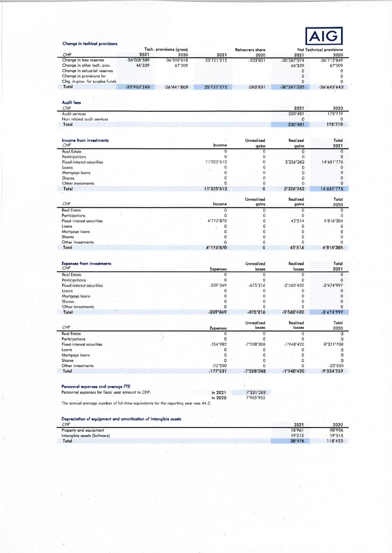

| Change in techical provisions                     |             |                                  |                 |                          |                    |                                  |
|---------------------------------------------------|-------------|----------------------------------|-----------------|--------------------------|--------------------|----------------------------------|
| CHF                                               | 2021        | Tech. provisions (gross)<br>2020 | 2021            | Reinsurers share<br>2020 | 2021               | Net Technical provisions<br>2020 |
| Change in loss reserves                           | -56'008'589 | $-36'509'018$                    | 25'721'215      | $-203'831$               | -30'287'374        | -36'712'849                      |
| Change in other tech, prov.                       | 46'339      | 67'209                           |                 |                          | 46'339             | 67'209                           |
| Change in actuarial reserves                      |             |                                  |                 |                          | 0                  | 0                                |
| Change in provisions for                          |             |                                  |                 |                          | 0                  | 0                                |
| Chg. in prov. for surplus funds                   |             |                                  |                 |                          | 0                  | 0                                |
| Total                                             | -55'962'249 | $-36'441'809$                    | 25'721'215      | $-203'831$               | $-30'241'035$      | -36'645'640                      |
|                                                   |             |                                  |                 |                          |                    |                                  |
| Audit fees                                        |             |                                  |                 |                          |                    |                                  |
| CHF                                               |             |                                  |                 |                          | 2021               | 2020                             |
| Audit services                                    |             |                                  |                 |                          | 200'481            | 175'719                          |
| Non related audit services                        |             |                                  |                 |                          | 0                  | 0                                |
| Total                                             |             |                                  |                 |                          | 200'481            | 175'719                          |
|                                                   |             |                                  |                 |                          |                    |                                  |
| Income from investments                           |             |                                  |                 | <b>Unrealized</b>        | Realized           | Total                            |
| CHF                                               |             |                                  | Income          | gains                    | gains              | 2021                             |
| <b>Real Estate</b>                                |             |                                  | $\mathbf 0$     | 0                        | 0                  | $\mathbf 0$                      |
| Participations                                    |             |                                  | 0               | 0                        | $\mathbf 0$        | $\Omega$                         |
| <b>Fixed-interest securities</b>                  |             |                                  | 11'325'513      | 0                        | 3'326'263          | 14'651'776                       |
| Loans                                             |             |                                  | 0               | 0                        | 0                  | 0                                |
| Mortgage loans                                    |             |                                  | 0               | 0                        | 0                  | $\mathbf 0$                      |
| Shares                                            |             |                                  | 0               | 0                        | 0                  | 0                                |
| Other investments                                 |             |                                  | 0               | 0                        | $\mathbf 0$        | $\mathbf 0$                      |
| Total                                             |             |                                  | 11'325'513      | $\mathbf 0$              | 3'326'263          | 14'651'776                       |
|                                                   |             |                                  |                 |                          |                    |                                  |
| CHF                                               |             |                                  | Income          | Unrealized<br>gains      | Realized<br>gains  | Total<br>2020                    |
| Real Estate                                       |             |                                  | $\overline{O}$  | $\mathbf 0$              | $\mathbf 0$        | $\circ$                          |
| Participations                                    |             |                                  | $\circ$         | 0                        | $\mathbf 0$        | 0                                |
|                                                   |             |                                  | 4'773'870       | 0                        | 42'514             |                                  |
| Fixed-interest securities                         |             |                                  |                 | 0                        |                    | 4'816'384                        |
| Loans                                             |             |                                  | 0               |                          | 0                  | 0                                |
| Mortgage loans                                    |             |                                  | 0               | 0                        | 0                  | $\mathbf 0$                      |
| Shares                                            |             |                                  | 0               | 0                        | 0                  | 0                                |
| Other investments                                 |             |                                  | 0               | 0                        | $\mathbf 0$        | 0                                |
| Total                                             |             |                                  | 4'773'870       | $\mathbf 0$              | 42'514             | 4'816'385                        |
|                                                   |             |                                  |                 |                          |                    |                                  |
| <b>Expenses from investments</b><br>CHF           |             |                                  | <b>Expenses</b> | Unrealized<br>losses     | Realized<br>losses | Total<br>2021                    |
| <b>Real Estate</b>                                |             |                                  | $\mathbf 0$     | $\overline{0}$           | $\mathbf 0$        | $\overline{0}$                   |
| Participations                                    |             |                                  | 0               | 0                        | $\mathbf 0$        | $\mathbf 0$                      |
| Fixed-interest securities                         |             |                                  | -239'349        | $-675'216$               | -2'560'432         | $-3'474'997$                     |
| Loans                                             |             |                                  | 0               | $\mathbf 0$              | $\Omega$           | $\Omega$                         |
| Mortgage loans                                    |             |                                  | 0               | 0                        | 0                  | 0                                |
| Shares                                            |             |                                  | $\mathbf 0$     | 0                        | 0                  | 0                                |
| Other investments                                 |             |                                  | 0               | 0                        | $\mathbf 0$        | $\mathbf 0$                      |
| Total                                             |             |                                  | $-239'349$      | $-675'216$               | $-2'560'432$       | $-3'474'997$                     |
|                                                   |             |                                  |                 | Unrealized               | Realized           | Total                            |
| CHF                                               |             |                                  | <b>Expenses</b> | losses                   | losses             | 2020                             |
| <b>Real Estate</b>                                |             |                                  | $\circ$         | 0                        | 0                  | 0                                |
| Participations                                    |             |                                  | 0               | 0                        | 0                  | $\mathbf 0$                      |
| Fixed-interest securities                         |             |                                  | $-154'982$      | -7'208'308               | $-1'948'420$       | -9'311'709                       |
| Loans                                             |             |                                  | 0               | 0                        | o                  | o                                |
| Mortgage loans                                    |             |                                  | 0               | 0                        | 0                  | o                                |
| Shares                                            |             |                                  | 0               | 0                        | 0                  | o                                |
| Other investments                                 |             |                                  | $-22'550$       | 0                        | 0                  | $-22'550$                        |
| Total                                             |             |                                  | $-177'531$      | $-7'208'308$             | $-1'948'420$       | $-9'334'259$                     |
|                                                   |             |                                  |                 |                          |                    |                                  |
|                                                   |             |                                  |                 |                          |                    |                                  |
| Personnel expenses and average FTE                |             |                                  |                 |                          |                    |                                  |
| Personnel expenses for fiscal year amount to CHF: |             |                                  | in 2021         | 7'331'203                |                    |                                  |
|                                                   |             |                                  | in 2020         | 7'905'952                |                    |                                  |

The annual average number of full-time equivalents for the reporting year was 44.2.

|  |  |  | Depreciation of equipment and amortization of intangible assets |
|--|--|--|-----------------------------------------------------------------|
|  |  |  |                                                                 |
|  |  |  |                                                                 |

| CHF                          | 2021   | 2020   |
|------------------------------|--------|--------|
| Property and equipment       | 18'961 | 98'906 |
| Intanaible assets (Software) | 19'515 | 19'516 |
| Total                        | 38'476 | 18'422 |